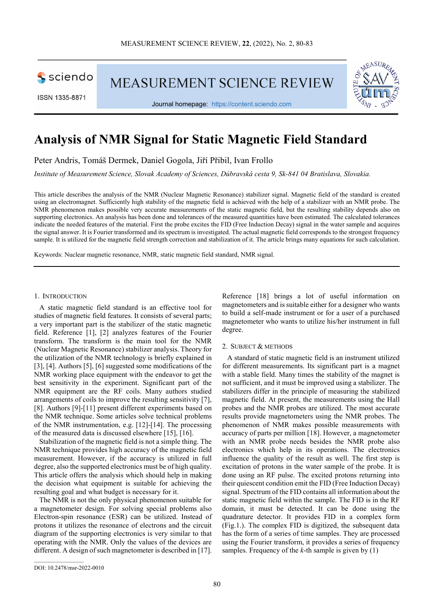

ISSN 1335-8871

**MEASUREMENT SCIENCE REVIEW** 



# **Analysis of NMR Signal for Static Magnetic Field Standard**

Peter Andris, Tomáš Dermek, Daniel Gogola, Jiří Přibil, Ivan Frollo

*Institute of Measurement Science, Slovak Academy of Sciences, Dúbravská cesta 9, Sk-841 04 Bratislava, Slovakia.* 

This article describes the analysis of the NMR (Nuclear Magnetic Resonance) stabilizer signal. Magnetic field of the standard is created using an electromagnet. Sufficiently high stability of the magnetic field is achieved with the help of a stabilizer with an NMR probe. The NMR phenomenon makes possible very accurate measurements of the static magnetic field, but the resulting stability depends also on supporting electronics. An analysis has been done and tolerances of the measured quantities have been estimated. The calculated tolerances indicate the needed features of the material. First the probe excites the FID (Free Induction Decay) signal in the water sample and acquires the signal answer. It is Fourier transformed and its spectrum is investigated. The actual magnetic field corresponds to the strongest frequency sample. It is utilized for the magnetic field strength correction and stabilization of it. The article brings many equations for such calculation.

Keywords: Nuclear magnetic resonance, NMR, static magnetic field standard, NMR signal.

### 1. INTRODUCTION

A static magnetic field standard is an effective tool for studies of magnetic field features. It consists of several parts; a very important part is the stabilizer of the static magnetic field. Reference [1], [2] analyzes features of the Fourier transform. The transform is the main tool for the NMR (Nuclear Magnetic Resonance) stabilizer analysis. Theory for the utilization of the NMR technology is briefly explained in [3], [4]. Authors [5], [6] suggested some modifications of the NMR working place equipment with the endeavor to get the best sensitivity in the experiment. Significant part of the NMR equipment are the RF coils. Many authors studied arrangements of coils to improve the resulting sensitivity [7], [8]. Authors [9]-[11] present different experiments based on the NMR technique. Some articles solve technical problems of the NMR instrumentation, e.g. [12]-[14]. The processing of the measured data is discussed elsewhere [15], [16].

Stabilization of the magnetic field is not a simple thing. The NMR technique provides high accuracy of the magnetic field measurement. However, if the accuracy is utilized in full degree, also the supported electronics must be of high quality. This article offers the analysis which should help in making the decision what equipment is suitable for achieving the resulting goal and what budget is necessary for it.

The NMR is not the only physical phenomenon suitable for a magnetometer design. For solving special problems also Electron-spin resonance (ESR) can be utilized. Instead of protons it utilizes the resonance of electrons and the circuit diagram of the supporting electronics is very similar to that operating with the NMR. Only the values of the devices are different. A design of such magnetometer is described in [17].

Reference [18] brings a lot of useful information on magnetometers and is suitable either for a designer who wants to build a self-made instrument or for a user of a purchased magnetometer who wants to utilize his/her instrument in full degree.

#### 2. SUBJECT & METHODS

A standard of static magnetic field is an instrument utilized for different measurements. Its significant part is a magnet with a stable field. Many times the stability of the magnet is not sufficient, and it must be improved using a stabilizer. The stabilizers differ in the principle of measuring the stabilized magnetic field. At present, the measurements using the Hall probes and the NMR probes are utilized. The most accurate results provide magnetometers using the NMR probes. The phenomenon of NMR makes possible measurements with accuracy of parts per million [18]. However, a magnetometer with an NMR probe needs besides the NMR probe also electronics which help in its operations. The electronics influence the quality of the result as well. The first step is excitation of protons in the water sample of the probe. It is done using an RF pulse. The excited protons returning into their quiescent condition emit the FID (Free Induction Decay) signal. Spectrum of the FID contains all information about the static magnetic field within the sample. The FID is in the RF domain, it must be detected. It can be done using the quadrature detector. It provides FID in a complex form (Fig.1.). The complex FID is digitized, the subsequent data has the form of a series of time samples. They are processed using the Fourier transform, it provides a series of frequency samples. Frequency of the *k*-th sample is given by (1)

 $\overline{\phantom{a}}$  , where  $\overline{\phantom{a}}$ 

DOI: 10.2478/msr-2022-0010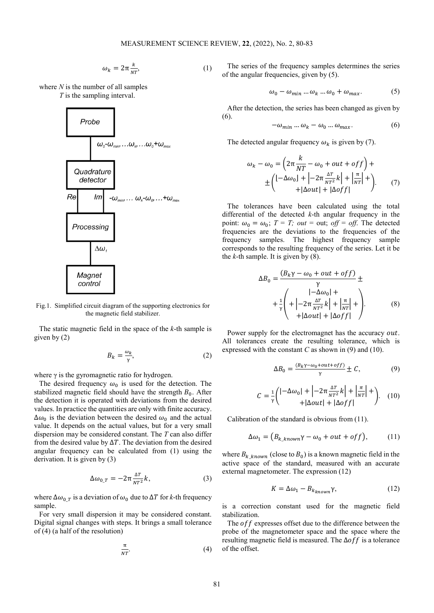$$
\omega_k = 2\pi \frac{k}{NT},\tag{1}
$$

where *N* is the number of all samples *T* is the sampling interval.



Fig.1. Simplified circuit diagram of the supporting electronics for the magnetic field stabilizer.

The static magnetic field in the space of the *k*-th sample is given by (2)

$$
B_k = \frac{\omega_k}{\gamma},\tag{2}
$$

where  $\gamma$  is the gyromagnetic ratio for hydrogen.

The desired frequency  $\omega_0$  is used for the detection. The stabilized magnetic field should have the strength  $B_0$ . After the detection it is operated with deviations from the desired values. In practice the quantities are only with finite accuracy.  $\Delta\omega_0$  is the deviation between the desired  $\omega_0$  and the actual value. It depends on the actual values, but for a very small dispersion may be considered constant. The *T* can also differ from the desired value by  $\Delta T$ . The deviation from the desired angular frequency can be calculated from (1) using the derivation. It is given by (3)

$$
\Delta\omega_{0_T} = -2\pi \frac{\Delta T}{NT^2} k,\tag{3}
$$

where  $\Delta\omega_{0,T}$  is a deviation of  $\omega_0$  due to  $\Delta T$  for *k*-th frequency sample.

For very small dispersion it may be considered constant. Digital signal changes with steps. It brings a small tolerance of (4) (a half of the resolution)

$$
\frac{\pi}{NT}.\tag{4}
$$

The series of the frequency samples determines the series of the angular frequencies, given by (5).

$$
\omega_0 - \omega_{min} \dots \omega_k \dots \omega_0 + \omega_{max}.\tag{5}
$$

After the detection, the series has been changed as given by (6).

$$
-\omega_{min}...\omega_k - \omega_0...\omega_{max}.\tag{6}
$$

The detected angular frequency  $\omega_k$  is given by (7).

$$
\omega_{k} - \omega_{0} = \left(2\pi \frac{k}{NT} - \omega_{0} + out + off\right) +
$$
  
 
$$
\pm \left(\left[-\Delta\omega_{0}\right] + \left|-2\pi \frac{\Delta T}{NT^{2}}k\right| + \left|\frac{\pi}{NT}\right| + \right) \qquad (7)
$$
  
 
$$
+ |\Delta out| + |\Delta off|
$$

The tolerances have been calculated using the total differential of the detected *k*-th angular frequency in the point:  $\omega_0 = \omega_0$ ;  $T = T$ ; *out* = *out*; *off* = *off*. The detected frequencies are the deviations to the frequencies of the frequency samples. The highest frequency sample corresponds to the resulting frequency of the series. Let it be the *k*-th sample. It is given by (8).

$$
\Delta B_0 = \frac{(B_k \gamma - \omega_0 + out + off)}{\gamma} \pm
$$
  
+ 
$$
\frac{1}{\gamma} \left( + \left| -2\pi \frac{\Delta T}{NT^2} k \right| + \left| \frac{\pi}{NT} \right| + \right).
$$
 (8)  
+ 
$$
\left| \Delta out \right| + |\Delta off|
$$

Power supply for the electromagnet has the accuracy out. All tolerances create the resulting tolerance, which is expressed with the constant *C* as shown in (9) and (10).

$$
\Delta B_0 = \frac{(B_k \gamma - \omega_0 + out + off)}{\gamma} \pm C,\tag{9}
$$

$$
C = \frac{1}{\gamma} \left( \frac{|-\Delta\omega_0| + |-2\pi \frac{\Delta T}{NT^2}k| + \left|\frac{\pi}{NT}\right| +}{+|\Delta out| + |\Delta off|} \right). \tag{10}
$$

Calibration of the standard is obvious from (11).

$$
\Delta \omega_1 = (B_{k\_known} \gamma - \omega_0 + out + off), \tag{11}
$$

where  $B_{k\_known}$  (close to  $B_0$ ) is a known magnetic field in the active space of the standard, measured with an accurate external magnetometer. The expression (12)

$$
K = \Delta\omega_1 - B_{k_{known}} \gamma,\tag{12}
$$

is a correction constant used for the magnetic field stabilization.

The  $off$  expresses offset due to the difference between the probe of the magnetometer space and the space where the resulting magnetic field is measured. The  $\Delta$ off is a tolerance of the offset.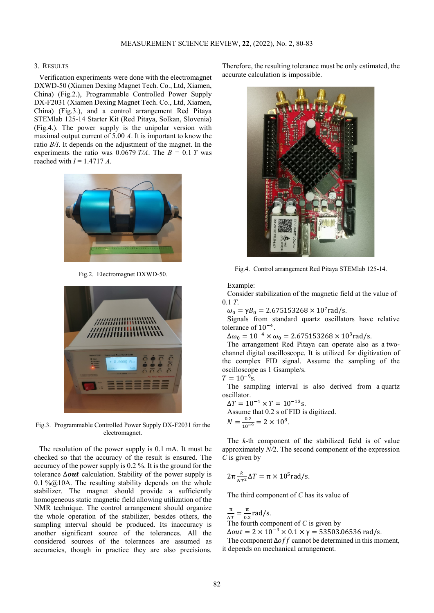### 3. RESULTS

Verification experiments were done with the electromagnet DXWD-50 (Xiamen Dexing Magnet Tech. Co., Ltd, Xiamen, China) (Fig.2.), Programmable Controlled Power Supply DX-F2031 (Xiamen Dexing Magnet Tech. Co., Ltd, Xiamen, China) (Fig.3.), and a control arrangement Red Pitaya STEMlab 125-14 Starter Kit (Red Pitaya, Solkan, Slovenia) (Fig.4.). The power supply is the unipolar version with maximal output current of 5.00 *A*. It is important to know the ratio *B/I*. It depends on the adjustment of the magnet. In the experiments the ratio was 0.0679  $T/A$ . The  $B = 0.1 T$  was reached with *I* = 1.4717 *A*.



Fig.2. Electromagnet DXWD-50.



Fig.3. Programmable Controlled Power Supply DX-F2031 for the electromagnet.

The resolution of the power supply is 0.1 mA. It must be checked so that the accuracy of the result is ensured. The accuracy of the power supply is 0.2 %. It is the ground for the tolerance  $\Delta out$  calculation. Stability of the power supply is 0.1 % $@10A$ . The resulting stability depends on the whole stabilizer. The magnet should provide a sufficiently homogeneous static magnetic field allowing utilization of the NMR technique. The control arrangement should organize the whole operation of the stabilizer, besides others, the sampling interval should be produced. Its inaccuracy is another significant source of the tolerances. All the considered sources of the tolerances are assumed as accuracies, though in practice they are also precisions.

Therefore, the resulting tolerance must be only estimated, the accurate calculation is impossible.



Fig.4. Control arrangement Red Pitaya STEMlab 125-14.

Example:

Consider stabilization of the magnetic field at the value of 0.1 *T*.

 $\omega_0 = \gamma B_0 = 2.675153268 \times 10^7$  rad/s.

Signals from standard quartz oscillators have relative tolerance of 10−4.

 $\Delta\omega_0 = 10^{-4} \times \omega_0 = 2.675153268 \times 10^3$  rad/s.

The arrangement Red Pitaya can operate also as a twochannel digital oscilloscope. It is utilized for digitization of the complex FID signal. Assume the sampling of the oscilloscope as 1 Gsample/s.

 $T = 10^{-9}$ s.

The sampling interval is also derived from a quartz oscillator.

 $\Delta T = 10^{-4} \times T = 10^{-13}$ s. Assume that 0.2 s of FID is digitized.  $N = \frac{0.2}{10^{-9}} = 2 \times 10^8$ .

The *k*-th component of the stabilized field is of value approximately *N/*2. The second component of the expression *C* is given by

$$
2\pi \frac{k}{NT^2} \Delta T = \pi \times 10^5 \text{rad/s}.
$$

The third component of *C* has its value of

$$
\frac{\pi}{NT} = \frac{\pi}{0.2}
$$
 rad/s.  
The fourth component of *C* is given by

 $\Delta out = 2 \times 10^{-3} \times 0.1 \times \gamma = 53503.06536$  rad/s.

The component  $\Delta$ off cannot be determined in this moment, it depends on mechanical arrangement.